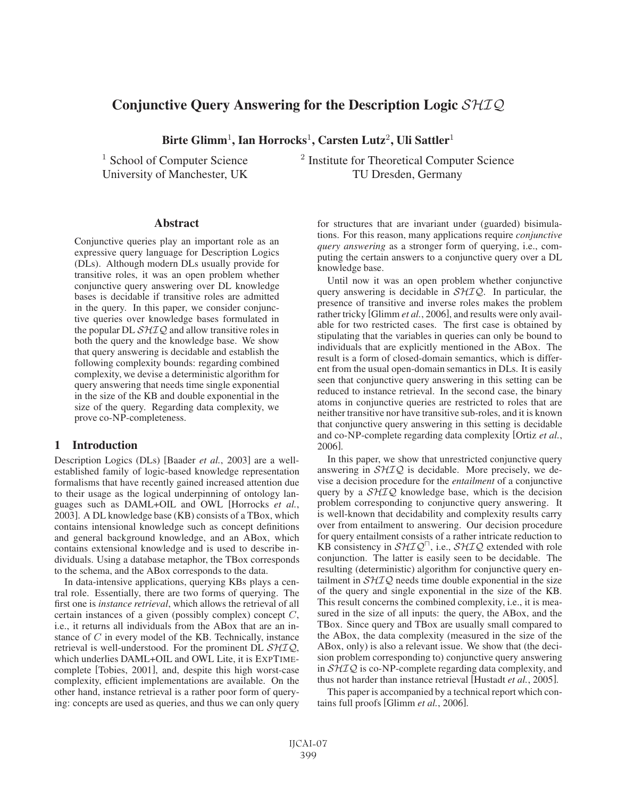# Conjunctive Query Answering for the Description Logic  $SHIQ$

Birte Glimm<sup>1</sup>, Ian Horrocks<sup>1</sup>, Carsten Lutz<sup>2</sup>, Uli Sattler<sup>1</sup>

<sup>1</sup> School of Computer Science  $\frac{2}{}$  Institute for Theoretical Computer Science University of Manchester, UK TU Dresden, Germany

#### Abstract

Conjunctive queries play an important role as an expressive query language for Description Logics (DLs). Although modern DLs usually provide for transitive roles, it was an open problem whether conjunctive query answering over DL knowledge bases is decidable if transitive roles are admitted in the query. In this paper, we consider conjunctive queries over knowledge bases formulated in the popular DL  $\mathcal{SHIQ}$  and allow transitive roles in both the query and the knowledge base. We show that query answering is decidable and establish the following complexity bounds: regarding combined complexity, we devise a deterministic algorithm for query answering that needs time single exponential in the size of the KB and double exponential in the size of the query. Regarding data complexity, we prove co-NP-completeness.

# 1 Introduction

Description Logics (DLs) [Baader *et al.*, 2003] are a wellestablished family of logic-based knowledge representation formalisms that have recently gained increased attention due to their usage as the logical underpinning of ontology languages such as DAML+OIL and OWL [Horrocks *et al.*, 2003]. A DL knowledge base (KB) consists of a TBox, which contains intensional knowledge such as concept definitions and general background knowledge, and an ABox, which contains extensional knowledge and is used to describe individuals. Using a database metaphor, the TBox corresponds to the schema, and the ABox corresponds to the data.

In data-intensive applications, querying KBs plays a central role. Essentially, there are two forms of querying. The first one is *instance retrieval*, which allows the retrieval of all certain instances of a given (possibly complex) concept  $C$ , i.e., it returns all individuals from the ABox that are an instance of C in every model of the KB. Technically, instance retrieval is well-understood. For the prominent DL  $\mathcal{SHIQ}$ , which underlies DAML+OIL and OWL Lite, it is EXPTIMEcomplete [Tobies, 2001], and, despite this high worst-case complexity, efficient implementations are available. On the other hand, instance retrieval is a rather poor form of querying: concepts are used as queries, and thus we can only query for structures that are invariant under (guarded) bisimulations. For this reason, many applications require *conjunctive query answering* as a stronger form of querying, i.e., computing the certain answers to a conjunctive query over a DL knowledge base.

Until now it was an open problem whether conjunctive query answering is decidable in  $\mathcal{SHIQ}$ . In particular, the presence of transitive and inverse roles makes the problem rather tricky [Glimm *et al.*, 2006], and results were only available for two restricted cases. The first case is obtained by stipulating that the variables in queries can only be bound to individuals that are explicitly mentioned in the ABox. The result is a form of closed-domain semantics, which is different from the usual open-domain semantics in DLs. It is easily seen that conjunctive query answering in this setting can be reduced to instance retrieval. In the second case, the binary atoms in conjunctive queries are restricted to roles that are neither transitive nor have transitive sub-roles, and it is known that conjunctive query answering in this setting is decidable and co-NP-complete regarding data complexity [Ortiz *et al.*, 2006].

In this paper, we show that unrestricted conjunctive query answering in  $\mathcal{SHIQ}$  is decidable. More precisely, we devise a decision procedure for the *entailment* of a conjunctive query by a  $\mathcal{SHTQ}$  knowledge base, which is the decision problem corresponding to conjunctive query answering. It is well-known that decidability and complexity results carry over from entailment to answering. Our decision procedure for query entailment consists of a rather intricate reduction to KB consistency in  $\mathcal{SHIQ}^{\Box}$ , i.e.,  $\mathcal{SHIQ}$  extended with role conjunction. The latter is easily seen to be decidable. The resulting (deterministic) algorithm for conjunctive query entailment in  $\mathcal{SHTQ}$  needs time double exponential in the size of the query and single exponential in the size of the KB. This result concerns the combined complexity, i.e., it is measured in the size of all inputs: the query, the ABox, and the TBox. Since query and TBox are usually small compared to the ABox, the data complexity (measured in the size of the ABox, only) is also a relevant issue. We show that (the decision problem corresponding to) conjunctive query answering in  $\mathcal{SHTQ}$  is co-NP-complete regarding data complexity, and thus not harder than instance retrieval [Hustadt *et al.*, 2005].

This paper is accompanied by a technical report which contains full proofs [Glimm *et al.*, 2006].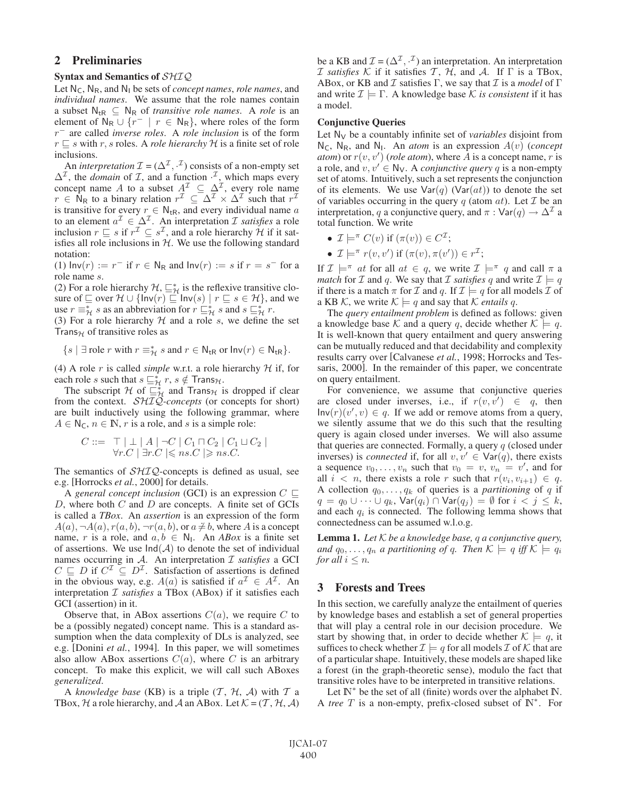# 2 Preliminaries

### Syntax and Semantics of SHIQ

Let  $N_c$ ,  $N_R$ , and  $N_l$  be sets of *concept names*, *role names*, and *individual names*. We assume that the role names contain a subset  $N_{tR} \subseteq N_R$  of *transitive role names*. A *role* is an element of  $N_R \cup \{r^- \mid r \in N_R\}$ , where roles of the form r<sup>−</sup> are called *inverse roles*. A *role inclusion* is of the form  $r \sqsubseteq s$  with r, s roles. A *role hierarchy* H is a finite set of role inclusions.

An *interpretation*  $\mathcal{I} = (\Delta^{\mathcal{I}}, \cdot^{\mathcal{I}})$  consists of a non-empty set  $\Delta^{\mathcal{I}}$ , the *domain* of  $\mathcal{I}$ , and a function  $\cdot^{\mathcal{I}}$ , which maps every concept name A to a subset  $A^{\mathcal{I}} \subseteq \Delta^{\mathcal{I}}$ , every role name  $r \in \mathsf{N}_{\mathsf{R}}$  to a binary relation  $r^{\mathcal{I}} \subseteq \Delta^{\mathcal{I}} \times \Delta^{\mathcal{I}}$  such that  $r^{\mathcal{I}}$ is transitive for every  $r \in N_{\text{tR}}$ , and every individual name a to an element  $a^{\mathcal{I}} \in \Delta^{\mathcal{I}}$ . An interpretation  $\mathcal I$  *satisfies* a role inclusion  $r \sqsubseteq s$  if  $r^{\mathcal{I}} \subseteq s^{\mathcal{I}}$ , and a role hierarchy  $\mathcal{H}$  if it satisfies all role inclusions in  $H$ . We use the following standard notation:

(1)  $\text{Inv}(r) := r^-$  if  $r \in \mathbb{N}_{\mathbb{R}}$  and  $\text{Inv}(r) := s$  if  $r = s^-$  for a role name s.

(2) For a role hierarchy  $H$ ,  $\sqsubseteq^*_{\mathcal{H}}$  is the reflexive transitive closure of  $\subseteq$  over  $\mathcal{H} \cup \{\ln(r) \subseteq \ln(v(s) \mid r \subseteq s \in \mathcal{H}\}\)$ , and we use  $r \equiv^*_{\mathcal{H}} s$  as an abbreviation for  $r \sqsubseteq^*_{\mathcal{H}} s$  and  $s \sqsubseteq^*_{\mathcal{H}} r$ .

(3) For a role hierarchy  $H$  and a role s, we define the set Trans $H$  of transitive roles as

$$
\{s \mid \exists \text{ role } r \text{ with } r \equiv^*_{\mathcal{H}} s \text{ and } r \in \mathsf{N}_{\mathrm{tR}} \text{ or } \mathsf{Inv}(r) \in \mathsf{N}_{\mathrm{tR}}\}.
$$

(4) A role r is called *simple* w.r.t. a role hierarchy  $H$  if, for each role s such that  $s \sqsubseteq_{\mathcal{H}}^* r$ ,  $s \notin \mathsf{Trans}_{\mathcal{H}}$ .

The subscript H of  $\frac{n}{\sum_{i=1}^{k}}$  and Trans $\frac{1}{n}$  is dropped if clear from the context. SHIQ*-concepts* (or concepts for short) are built inductively using the following grammar, where  $A \in N_{\mathsf{C}}$ ,  $n \in \mathbb{N}$ , r is a role, and s is a simple role:

$$
C ::= \top | \bot | A | \neg C | C_1 \sqcap C_2 | C_1 \sqcup C_2 |
$$
  
\n
$$
\forall r.C | \exists r.C | \leqslant ns.C | \geqslant ns.C.
$$

The semantics of  $\mathcal{SHIQ}$ -concepts is defined as usual, see e.g. [Horrocks *et al.*, 2000] for details.

A *general concept inclusion* (GCI) is an expression  $C \subseteq$  $D$ , where both  $C$  and  $D$  are concepts. A finite set of GCIs is called a *TBox*. An *assertion* is an expression of the form Solution 2. An assemble is an expression of the form<br>  $A(a), \neg A(a), r(a, b), \neg r(a, b)$ , or  $a \neq b$ , where A is a concept name, r is a role, and  $a, b \in N_1$ . An *ABox* is a finite set of assertions. We use  $Ind(A)$  to denote the set of individual names occurring in A. An interpretation I *satisfies* a GCI  $C \subseteq D$  if  $C^{\mathcal{I}} \subseteq D^{\mathcal{I}}$ . Satisfaction of assertions is defined in the obvious way, e.g.  $A(a)$  is satisfied if  $a^{\mathcal{I}} \in A^{\mathcal{I}}$ . An interpretation I *satisfies* a TBox (ABox) if it satisfies each GCI (assertion) in it.

Observe that, in ABox assertions  $C(a)$ , we require C to be a (possibly negated) concept name. This is a standard assumption when the data complexity of DLs is analyzed, see e.g. [Donini *et al.*, 1994]. In this paper, we will sometimes also allow ABox assertions  $C(a)$ , where C is an arbitrary concept. To make this explicit, we will call such ABoxes *generalized*.

A *knowledge base* (KB) is a triple  $(T, H, A)$  with  $T$  a TBox, H a role hierarchy, and A an ABox. Let  $\mathcal{K} = (\mathcal{T}, \mathcal{H}, \mathcal{A})$ 

be a KB and  $\mathcal{I} = (\Delta^{\mathcal{I}}, \cdot^{\mathcal{I}})$  an interpretation. An interpretation *I* satisfies K if it satisfies T,  $H$ , and A. If  $\Gamma$  is a TBox, ABox, or KB and  $\mathcal I$  satisfies  $\Gamma$ , we say that  $\mathcal I$  is a *model* of  $\Gamma$ and write  $\mathcal{I} \models \Gamma$ . A knowledge base K *is consistent* if it has a model.

#### Conjunctive Queries

Let  $N_V$  be a countably infinite set of *variables* disjoint from  $N_c$ ,  $N_R$ , and  $N_l$ . An *atom* is an expression  $A(v)$  (*concept atom*) or  $r(v, v')$  (*role atom*), where  $\overline{A}$  is a concept name,  $r$  is a role, and  $v, v' \in \mathbb{N}_{\mathsf{V}}$ . A *conjunctive query* q is a non-empty set of atoms. Intuitively, such a set represents the conjunction of its elements. We use  $Var(q)$  (Var $(at)$ ) to denote the set of variables occurring in the query q (atom  $at$ ). Let  $\mathcal I$  be an interpretation, q a conjunctive query, and  $\pi : \text{Var}(q) \to \Delta^2$  a total function. We write

- $\mathcal{I} \models^{\pi} C(v)$  if  $(\pi(v)) \in C^{\mathcal{I}}$ ;
- $\mathcal{I} \models^{\pi} r(v, v')$  if  $(\pi(v), \pi(v')) \in r^{\mathcal{I}};$

If  $\mathcal{I} \models^{\pi} at$  for all  $at \in q$ , we write  $\mathcal{I} \models^{\pi} q$  and call  $\pi$  a *match* for *I* and *q*. We say that *I satisfies q* and write  $I \models q$ if there is a match  $\pi$  for  $\mathcal I$  and  $q$ . If  $\mathcal I \models q$  for all models  $\mathcal I$  of a KB K, we write  $K \models q$  and say that K *entails q*.

The *query entailment problem* is defined as follows: given a knowledge base K and a query q, decide whether  $K \models q$ . It is well-known that query entailment and query answering can be mutually reduced and that decidability and complexity results carry over [Calvanese *et al.*, 1998; Horrocks and Tessaris, 2000]. In the remainder of this paper, we concentrate on query entailment.

For convenience, we assume that conjunctive queries are closed under inverses, i.e., if  $r(v, v') \in q$ , then  $Inv(r)(v', v) \in q$ . If we add or remove atoms from a query, we silently assume that we do this such that the resulting query is again closed under inverses. We will also assume that queries are connected. Formally, a query  $q$  (closed under inverses) is *connected* if, for all  $v, v' \in \text{Var}(q)$ , there exists a sequence  $v_0, \ldots, v_n$  such that  $v_0 = v, v_n = v'$ , and for all  $i < n$ , there exists a role *x* such that  $x(u_0, v_0) \in \mathcal{L}$ all  $i < n$ , there exists a role r such that  $r(v_i, v_{i+1}) \in q$ . A collection  $q_0, \ldots, q_k$  of queries is a *partitioning* of q if  $q = q_0 \cup \cdots \cup q_k$ ,  $\text{Var}(q_i) \cap \text{Var}(q_j) = \emptyset$  for  $i < j \leq k$ , and each  $q_i$  is connected. The following lemma shows that connectedness can be assumed w.l.o.g.

Lemma 1. *Let* K *be a knowledge base,* q *a conjunctive query, and*  $q_0, \ldots, q_n$  *a partitioning of q. Then*  $K \models q$  *iff*  $K \models q_i$ *for all*  $i \leq n$ *.* 

# 3 Forests and Trees

In this section, we carefully analyze the entailment of queries by knowledge bases and establish a set of general properties that will play a central role in our decision procedure. We start by showing that, in order to decide whether  $\mathcal{K} \models q$ , it suffices to check whether  $\mathcal{I} \models q$  for all models  $\mathcal{I}$  of  $\mathcal{K}$  that are of a particular shape. Intuitively, these models are shaped like a forest (in the graph-theoretic sense), modulo the fact that transitive roles have to be interpreted in transitive relations.

Let  $\mathbb{N}^*$  be the set of all (finite) words over the alphabet  $\mathbb{N}$ . A *tree* T is a non-empty, prefix-closed subset of IN<sup>∗</sup>. For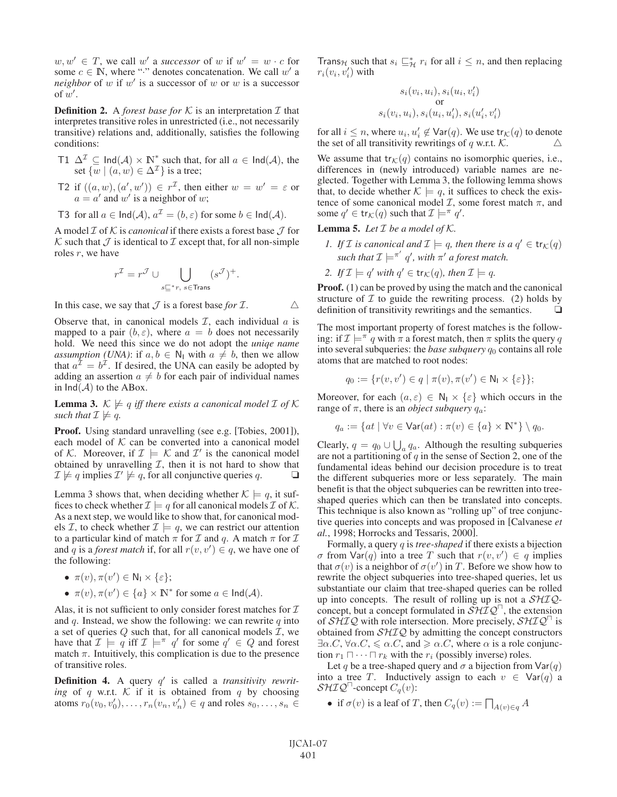$w, w' \in T$ , we call w' a *successor* of w if  $w' = w \cdot c$  for some  $c \in \mathbb{N}$ , where "·" denotes concatenation. We call w' a *neighbor* of  $w$  if  $w'$  is a successor of  $w$  or  $w$  is a successor of  $w'$ .

**Definition 2.** A *forest base for*  $K$  is an interpretation  $I$  that interpretes transitive roles in unrestricted (i.e., not necessarily transitive) relations and, additionally, satisfies the following conditions:

- T1  $\Delta^{\mathcal{I}} \subseteq \text{Ind}(\mathcal{A}) \times \mathbb{N}^*$  such that, for all  $a \in \text{Ind}(\mathcal{A})$ , the set  $\{w \mid (a, w) \in \Delta^{\mathcal{I}}\}$  is a tree;
- T2 if  $((a, w), (a', w')) \in r^{\mathcal{I}}$ , then either  $w = w' = \varepsilon$  or  $a = a'$  and w' is a neighbor of w;
- T3 for all  $a \in \text{Ind}(\mathcal{A}), a^{\mathcal{I}} = (b, \varepsilon)$  for some  $b \in \text{Ind}(\mathcal{A}).$

A model  $\mathcal I$  of  $\mathcal K$  is *canonical* if there exists a forest base  $\mathcal J$  for K such that  $\mathcal J$  is identical to  $\mathcal I$  except that, for all non-simple roles  $r$ , we have

$$
r^{\mathcal{I}} = r^{\mathcal{J}} \cup \bigcup_{s \sqsubseteq^* r, \ s \in \text{Trans}} (s^{\mathcal{J}})^+.
$$

In this case, we say that  $\mathcal J$  is a forest base *for*  $\mathcal I$ .

Observe that, in canonical models  $I$ , each individual  $a$  is mapped to a pair  $(b, \varepsilon)$ , where  $a = b$  does not necessarily hold. We need this since we do not adopt the *uniqe name assumption (UNA)*: if  $a, b \in \mathbb{N}_1$  with  $a \neq b$ , then we allow that  $a^{\mathcal{I}} = b^{\mathcal{I}}$ . If desired, the UNA can easily be adopted by adding an assertion  $a \neq b$  for each pair of individual names in  $Ind(A)$  to the ABox.

**Lemma 3.**  $K \not\models q$  *iff there exists a canonical model*  $I$  *of*  $K$ *such that*  $\mathcal{I} \not\models q$ *.* 

Proof. Using standard unravelling (see e.g. [Tobies, 2001]), each model of  $K$  can be converted into a canonical model of K. Moreover, if  $\mathcal{I} \models \mathcal{K}$  and  $\mathcal{I}'$  is the canonical model obtained by unravelling  $I$ , then it is not hard to show that  $\mathcal{I} \not\models q$  implies  $\mathcal{I}' \not\models q$ , for all conjunctive queries q.

Lemma 3 shows that, when deciding whether  $K \models q$ , it suffices to check whether  $\mathcal{I} \models q$  for all canonical models  $\mathcal{I}$  of  $\mathcal{K}$ . As a next step, we would like to show that, for canonical models *I*, to check whether  $I \models q$ , we can restrict our attention to a particular kind of match  $\pi$  for  $\mathcal I$  and  $q$ . A match  $\pi$  for  $\mathcal I$ and q is a *forest match* if, for all  $r(v, v') \in q$ , we have one of the following:

- $\pi(v), \pi(v') \in \mathsf{N}_1 \times \{\varepsilon\};$
- $\pi(v), \pi(v') \in \{a\} \times \mathbb{N}^*$  for some  $a \in \text{Ind}(\mathcal{A})$ .

Alas, it is not sufficient to only consider forest matches for  $I$ and q. Instead, we show the following: we can rewrite  $q$  into a set of queries  $Q$  such that, for all canonical models  $I$ , we have that  $\mathcal{I} \models q$  iff  $\mathcal{I} \models^{\pi} q'$  for some  $q' \in Q$  and forest match  $\pi$ . Intuitively, this complication is due to the presence of transitive roles.

**Definition 4.** A query q' is called a *transitivity rewriting* of q w.r.t.  $K$  if it is obtained from q by choosing atoms  $r_0(v_0, v'_0), \ldots, r_n(v_n, v'_n) \in q$  and roles  $s_0, \ldots, s_n \in$  Trans<sub>H</sub> such that  $s_i \sqsubseteq_{\mathcal{H}}^* r_i$  for all  $i \leq n$ , and then replacing  $r_i(v_i, v'_i)$  with

$$
s_i(v_i, u_i), s_i(u_i, v'_i)
$$
  
or  

$$
s_i(v_i, u_i), s_i(u_i, u'_i), s_i(u'_i, v'_i)
$$

for all  $i \leq n$ , where  $u_i, u'_i \notin \text{Var}(q)$ . We use  $\text{tr}_{\mathcal{K}}(q)$  to denote the set of all transitivity rewritings of q w.r.t.  $K$ .

We assume that  $tr_{\mathcal{K}}(q)$  contains no isomorphic queries, i.e., differences in (newly introduced) variable names are neglected. Together with Lemma 3, the following lemma shows that, to decide whether  $K \models q$ , it suffices to check the existence of some canonical model  $\mathcal{I}$ , some forest match  $\pi$ , and some  $q' \in \text{tr}_{\mathcal{K}}(q)$  such that  $\mathcal{I} \models^{\pi} q'.$ 

Lemma 5. Let  $I$  be a model of  $K$ .

- *1. If I is canonical and*  $\mathcal{I} \models q$ *, then there is a*  $q' \in \text{tr}_{\mathcal{K}}(q)$ such that  $\mathcal{I} \models^{\pi'} q'$ , with  $\pi'$  a forest match.
- *2. If*  $\mathcal{I} \models q'$  *with*  $q' \in \text{tr}_K(q)$ *, then*  $\mathcal{I} \models q$ *.*

**Proof.** (1) can be proved by using the match and the canonical structure of  $I$  to guide the rewriting process. (2) holds by definition of transitivity rewritings and the semantics.  $\Box$ 

The most important property of forest matches is the following: if  $\mathcal{I} \models^{\pi} q$  with  $\pi$  a forest match, then  $\pi$  splits the query q into several subqueries: the *base subquery*  $q_0$  contains all role atoms that are matched to root nodes:

$$
q_0 := \{r(v, v') \in q \mid \pi(v), \pi(v') \in \mathsf{N_I} \times \{\varepsilon\}\};
$$

Moreover, for each  $(a, \varepsilon) \in \mathbb{N}_1 \times \{\varepsilon\}$  which occurs in the range of  $\pi$ , there is an *object subquery*  $q_a$ :

$$
q_a := \{at \mid \forall v \in \text{Var}(at) : \pi(v) \in \{a\} \times \mathbb{N}^*\} \setminus q_0.
$$

Clearly,  $q = q_0 \cup \bigcup_a q_a$ . Although the resulting subqueries<br>are not a partitioning of c in the same of Section 2, one of the are not a partitioning of  $q$  in the sense of Section 2, one of the fundamental ideas behind our decision procedure is to treat the different subqueries more or less separately. The main benefit is that the object subqueries can be rewritten into treeshaped queries which can then be translated into concepts. This technique is also known as "rolling up" of tree conjunctive queries into concepts and was proposed in [Calvanese *et al.*, 1998; Horrocks and Tessaris, 2000].

Formally, a query q is *tree-shaped* if there exists a bijection  $\sigma$  from  $\text{Var}(q)$  into a tree T such that  $r(v, v') \in q$  implies that  $\sigma(v)$  is a neighbor of  $\sigma(v')$  in T. Before we show how to rewrite the object subqueries into tree-shaped queries, let us substantiate our claim that tree-shaped queries can be rolled up into concepts. The result of rolling up is not a  $\mathcal{SHIQ}$ concept, but a concept formulated in  $\mathcal{S}H\mathcal{IQ}^{\Box}$ , the extension of  $\mathcal{SHTQ}$  with role intersection. More precisely,  $\mathcal{SHTQ}^{\square}$  is obtained from  $\mathcal{SHIQ}$  by admitting the concept constructors  $\exists \alpha$ .C,  $\forall \alpha$ .C,  $\le \alpha$ .C, and  $\ge \alpha$ .C, where  $\alpha$  is a role conjunction  $r_1 \sqcap \cdots \sqcap r_k$  with the  $r_i$  (possibly inverse) roles.<br>Let a be a tree shaped query and  $\tau$  a bijection from

Let q be a tree-shaped query and  $\sigma$  a bijection from  $\text{Var}(q)$ into a tree T. Inductively assign to each  $v \in \text{Var}(q)$  a  $\mathcal{SHIQ}^{\Box}$ -concept  $C_q(v)$ :

• if  $\sigma(v)$  is a leaf of T, then  $C_q(v) := \prod_{A(v) \in q} A$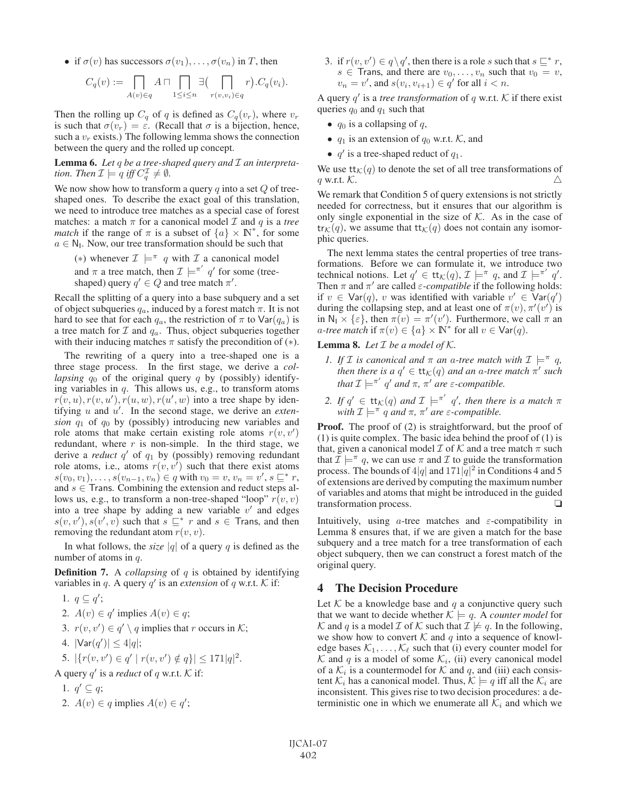• if  $\sigma(v)$  has successors  $\sigma(v_1), \ldots, \sigma(v_n)$  in T, then

$$
C_q(v) := \prod_{A(v) \in q} A \sqcap \prod_{1 \leq i \leq n} \exists \big( \prod_{r(v,v_i) \in q} r\big). C_q(v_i).
$$

Then the rolling up  $C_q$  of q is defined as  $C_q(v_r)$ , where  $v_r$ is such that  $\sigma(v_r) = \varepsilon$ . (Recall that  $\sigma$  is a bijection, hence, such a  $v_r$  exists.) The following lemma shows the connection between the query and the rolled up concept.

Lemma 6. *Let* q *be a tree-shaped query and* I *an interpretation.* Then  $\mathcal{I} \models q$  iff  $C_q^{\mathcal{I}} \neq \emptyset$ .

We now show how to transform a query  $q$  into a set  $Q$  of treeshaped ones. To describe the exact goal of this translation, we need to introduce tree matches as a special case of forest matches: a match  $\pi$  for a canonical model  $\mathcal I$  and  $q$  is a *tree match* if the range of  $\pi$  is a subset of  $\{a\} \times \mathbb{N}^*$ , for some  $a \in N_1$ . Now, our tree transformation should be such that

(\*) whenever  $\mathcal{I} \models^{\pi} q$  with  $\mathcal{I}$  a canonical model and  $\pi$  a tree match, then  $\mathcal{I} \models^{\pi'} q'$  for some (treeshaped) query  $q' \in Q$  and tree match  $\pi'$ .

Recall the splitting of a query into a base subquery and a set of object subqueries  $q_a$ , induced by a forest match  $\pi$ . It is not hard to see that for each  $q_a$ , the restriction of  $\pi$  to  $\text{Var}(q_a)$  is a tree match for  $\mathcal I$  and  $q_a$ . Thus, object subqueries together with their inducing matches  $\pi$  satisfy the precondition of  $(*)$ .

The rewriting of a query into a tree-shaped one is a three stage process. In the first stage, we derive a *collapsing*  $q_0$  of the original query q by (possibly) identifying variables in  $q$ . This allows us, e.g., to transform atoms  $r(v, u), r(v, u'), r(u, w), r(u', w)$  into a tree shape by identifying  $u$  and  $u'$ . In the second stage, we derive an *extension*  $q_1$  of  $q_0$  by (possibly) introducing new variables and role atoms that make certain existing role atoms  $r(v, v')$ redundant, where  $r$  is non-simple. In the third stage, we derive a *reduct*  $q'$  of  $q_1$  by (possibly) removing redundant role atoms, i.e., atoms  $r(v, v<sup>T</sup>)$  such that there exist atoms  $s(v_0, v_1), \ldots, s(v_{n-1}, v_n) \in q$  with  $v_0 = v, v_n = v', s \sqsubseteq^* r$ ,<br>and  $s \in$  Trans. Combining the extension and reduct steps all and  $s \in$  Trans. Combining the extension and reduct steps allows us, e.g., to transform a non-tree-shaped "loop"  $r(v, v)$ into a tree shape by adding a new variable  $v'$  and edges  $s(v, v'), s(v', v)$  such that  $s \sqsubseteq^* r$  and  $s \in$  Trans, and then removing the redundant atom  $r(v, v)$ .

In what follows, the *size* |q| of a query q is defined as the number of atoms in q.

**Definition 7.** A *collapsing* of q is obtained by identifying variables in q. A query  $q'$  is an *extension* of q w.r.t. K if:

1.  $q \subseteq q'$ ; 2.  $A(v) \in q'$  implies  $A(v) \in q$ ; 3.  $r(v, v') \in q' \setminus q$  implies that r occurs in K; 4.  $|\textsf{Var}(q')| \leq 4|q|;$ 5.  $|\{r(v, v') \in q' \mid r(v, v') \notin q\}| \leq 171|q|^2$ . A query  $q'$  is a *reduct* of q w.r.t.  $K$  if: 1.  $q' \subseteq q$ ;

2. 
$$
A(v) \in q
$$
 implies  $A(v) \in q'$ ;

3. if  $r(v, v') \in q \setminus q'$ , then there is a role s such that  $s \sqsubseteq^* r$ ,  $s \in$  Trans, and there are  $v_0, \ldots, v_n$  such that  $v_0 = v$ ,  $v_n = v'$ , and  $s(v_i, v_{i+1}) \in q'$  for all  $i < n$ .

A query  $q'$  is a *tree transformation* of q w.r.t. K if there exist queries  $q_0$  and  $q_1$  such that

- $q_0$  is a collapsing of  $q$ ,
- $q_1$  is an extension of  $q_0$  w.r.t. K, and
- $q'$  is a tree-shaped reduct of  $q_1$ .

We use  $tt_K(q)$  to denote the set of all tree transformations of q w.r.t.  $K$ .

We remark that Condition 5 of query extensions is not strictly needed for correctness, but it ensures that our algorithm is only single exponential in the size of  $K$ . As in the case of  $tr_{\mathcal{K}}(q)$ , we assume that  $tr_{\mathcal{K}}(q)$  does not contain any isomorphic queries.

The next lemma states the central properties of tree transformations. Before we can formulate it, we introduce two technical notions. Let  $q' \in \text{tt}_K(q)$ ,  $\mathcal{I} \models^{\pi} q$ , and  $\mathcal{I} \models^{\pi'} q'$ . Then  $\pi$  and  $\pi'$  are called  $\varepsilon$ -*compatible* if the following holds: if  $v \in \text{Var}(q)$ , v was identified with variable  $v' \in \text{Var}(q')$ during the collapsing step, and at least one of  $\pi(v)$ ,  $\pi'(v')$  is in  $N_1 \times {\varepsilon}$ , then  $\pi(v) = \pi'(v')$ . Furthermore, we call  $\pi$  an *a-tree match* if  $\pi(v) \in \{a\} \times \mathbb{N}^*$  for all  $v \in \text{Var}(q)$ .

**Lemma 8.** Let  $I$  be a model of  $K$ .

- *1. If I is canonical and*  $\pi$  *an a-tree match with*  $\mathcal{I} \models^{\pi} q$ *, then there is a*  $q' \in \mathsf{tt}_{\mathcal{K}}(q)$  *and an a-tree match*  $\pi'$  *such that*  $\mathcal{I} \models^{\pi'} q'$  *and*  $\pi$ *,*  $\pi'$  *are*  $\varepsilon$ *-compatible.*
- 2. If  $q' \in \mathsf{tt}_{\mathcal{K}}(q)$  and  $\mathcal{I} \models^{\pi'} q'$ , then there is a match  $\pi$ *with*  $\mathcal{I} \models^{\pi} q$  *and*  $\pi$ *,*  $\pi'$  *are*  $\varepsilon$ *-compatible.*

**Proof.** The proof of (2) is straightforward, but the proof of (1) is quite complex. The basic idea behind the proof of (1) is that, given a canonical model  $\mathcal I$  of  $\mathcal K$  and a tree match  $\pi$  such that  $\mathcal{I} \models^{\pi} q$ , we can use  $\pi$  and  $\mathcal{I}$  to guide the transformation process. The bounds of  $4|q|$  and  $171|q|^2$  in Conditions 4 and 5 of extensions are derived by computing the maximum number of variables and atoms that might be introduced in the guided transformation process.

Intuitively, using *a*-tree matches and  $\varepsilon$ -compatibility in Lemma 8 ensures that, if we are given a match for the base subquery and a tree match for a tree transformation of each object subquery, then we can construct a forest match of the original query.

### 4 The Decision Procedure

Let  $K$  be a knowledge base and q a conjunctive query such that we want to decide whether  $K \models q$ . A *counter model* for K and q is a model  $\mathcal I$  of K such that  $\mathcal I \not\models q$ . In the following, we show how to convert  $K$  and q into a sequence of knowledge bases  $\mathcal{K}_1, \ldots, \mathcal{K}_\ell$  such that (i) every counter model for  $K$  and q is a model of some  $K_i$ , (ii) every canonical model of a  $\mathcal{K}_i$  is a countermodel for  $\mathcal K$  and  $q$ , and (iii) each consistent  $\mathcal{K}_i$  has a canonical model. Thus,  $\mathcal{K} \models q$  iff all the  $\mathcal{K}_i$  are inconsistent. This gives rise to two decision procedures: a deterministic one in which we enumerate all  $\mathcal{K}_i$  and which we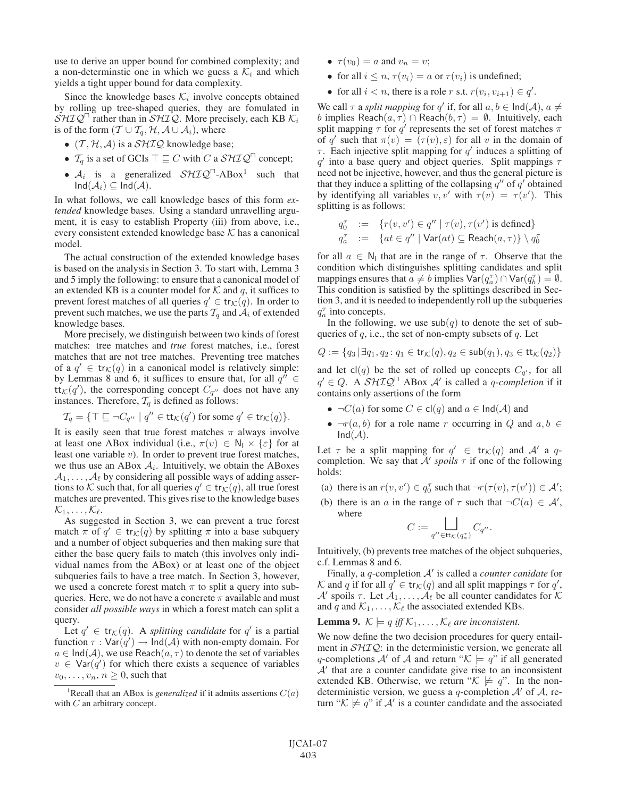use to derive an upper bound for combined complexity; and a non-determinstic one in which we guess a  $\mathcal{K}_i$  and which yields a tight upper bound for data complexity.

Since the knowledge bases  $\mathcal{K}_i$  involve concepts obtained by rolling up tree-shaped queries, they are fomulated in  $\dot{S} H I Q^{\Box}$  rather than in  $\dot{S} H I Q$ . More precisely, each KB  $K_i$ is of the form  $(T \cup T_q, H, A \cup A_i)$ , where

- $(\mathcal{T}, \mathcal{H}, \mathcal{A})$  is a  $\mathcal{SHIQ}$  knowledge base;
- $\mathcal{T}_q$  is a set of GCIs  $\top \sqsubseteq C$  with C a  $\mathcal{SHIQ}^{\sqcap}$  concept;
- $A_i$  is a generalized  $\mathcal{SHIQ}^{\sqcap}$ -ABox<sup>1</sup> such that  $Ind(\mathcal{A}_i) \subseteq Ind(\mathcal{A}).$

In what follows, we call knowledge bases of this form *extended* knowledge bases. Using a standard unravelling argument, it is easy to establish Property (iii) from above, i.e., every consistent extended knowledge base  $K$  has a canonical model.

The actual construction of the extended knowledge bases is based on the analysis in Section 3. To start with, Lemma 3 and 5 imply the following: to ensure that a canonical model of an extended KB is a counter model for  $K$  and q, it suffices to prevent forest matches of all queries  $q' \in \text{tr}_{\mathcal{K}}(q)$ . In order to prevent such matches, we use the parts  $\mathcal{T}_q$  and  $\mathcal{A}_i$  of extended knowledge bases.

More precisely, we distinguish between two kinds of forest matches: tree matches and *true* forest matches, i.e., forest matches that are not tree matches. Preventing tree matches of a  $q' \in \text{tr}_{\mathcal{K}}(q)$  in a canonical model is relatively simple: by Lemmas 8 and 6, it suffices to ensure that, for all  $q'' \in$  $\text{tt}_K(q')$ , the corresponding concept  $C_{q''}$  does not have any instances. Therefore,  $\mathcal{T}_q$  is defined as follows:

$$
\mathcal{T}_q = \{ \top \sqsubseteq \neg C_{q''} \mid q'' \in \mathsf{tt}_{\mathcal{K}}(q') \text{ for some } q' \in \mathsf{tr}_{\mathcal{K}}(q) \}.
$$

It is easily seen that true forest matches  $\pi$  always involve at least one ABox individual (i.e.,  $\pi(v) \in \mathbb{N}_1 \times \{\varepsilon\}$  for at least one variable  $v$ ). In order to prevent true forest matches, we thus use an ABox  $A_i$ . Intuitively, we obtain the ABoxes  $A_1, \ldots, A_\ell$  by considering all possible ways of adding assertions to K such that, for all queries  $q' \in \text{tr}_{\mathcal{K}}(q)$ , all true forest matches are prevented. This gives rise to the knowledge bases  $\mathcal{K}_1,\ldots,\mathcal{K}_{\ell}.$ 

As suggested in Section 3, we can prevent a true forest match  $\pi$  of  $q' \in \text{tr}_{\mathcal{K}}(q)$  by splitting  $\pi$  into a base subquery and a number of object subqueries and then making sure that either the base query fails to match (this involves only individual names from the ABox) or at least one of the object subqueries fails to have a tree match. In Section 3, however, we used a concrete forest match  $\pi$  to split a query into subqueries. Here, we do not have a concrete  $\pi$  available and must consider *all possible ways* in which a forest match can split a query.

Let  $q' \in \text{tr}_{\mathcal{K}}(q)$ . A *splitting candidate* for  $q'$  is a partial function  $\tau : \text{Var}(q') \to \text{Ind}(\mathcal{A})$  with non-empty domain. For  $a \in \text{Ind}(\mathcal{A})$ , we use Reach $(a, \tau)$  to denote the set of variables  $v \in \text{Var}(q')$  for which there exists a sequence of variables  $v_0, \ldots, v_n, n \geq 0$ , such that

- $\tau(v_0) = a$  and  $v_n = v$ ;
- for all  $i \leq n$ ,  $\tau(v_i) = a$  or  $\tau(v_i)$  is undefined;
- for all  $i < n$ , there is a role r s.t.  $r(v_i, v_{i+1}) \in q'$ .

We call  $\tau$  a *split mapping* for q' if, for all  $a, b \in \text{Ind}(\mathcal{A})$ ,  $a \neq$ b implies Reach $(a, \tau)$  ∩ Reach $(b, \tau) = \emptyset$ . Intuitively, each split mapping  $\tau$  for  $q'$  represents the set of forest matches  $\pi$ of q' such that  $\pi(v)=(\tau(v), \varepsilon)$  for all v in the domain of  $\tau$ . Each injective split mapping for q' induces a splitting of  $q'$  into a base query and object queries. Split mappings  $\tau$ need not be injective, however, and thus the general picture is that they induce a splitting of the collapsing  $q''$  of  $q'$  obtained by identifying all variables  $v, v'$  with  $\tau(v) = \tau(v')$ . This splitting is as follows:

$$
q_0^{\tau} := \{r(v, v') \in q'' \mid \tau(v), \tau(v') \text{ is defined}\}
$$
  

$$
q_a^{\tau} := \{at \in q'' \mid \text{Var}(at) \subseteq \text{Reach}(a, \tau)\} \setminus q_0^{\tau}
$$

for all  $a \in N_1$  that are in the range of  $\tau$ . Observe that the condition which distinguishes splitting candidates and split mappings ensures that  $a \neq b$  implies  $\text{Var}(q_a^{\tau}) \cap \text{Var}(q_b^{\tau}) = \emptyset$ . This condition is satisfied by the splittings described in Section 3, and it is needed to independently roll up the subqueries  $q_a^{\tau}$  into concepts.

In the following, we use  $\mathsf{sub}(q)$  to denote the set of subqueries of  $q$ , i.e., the set of non-empty subsets of  $q$ . Let

$$
Q:=\{q_3\,|\,\exists q_1,q_2\colon q_1\in {\rm tr}_{\mathcal K}(q), q_2\in {\rm sub}(q_1), q_3\in {\rm tr}_{\mathcal K}(q_2)\}
$$

and let  $cl(q)$  be the set of rolled up concepts  $C_{q'}$ , for all  $q' \in Q$ . A  $\mathcal{S}H\mathcal{IQ}^{\Box}$  ABox  $\mathcal{A}'$  is called a *q-completion* if it contains only assertions of the form

- $\neg C(a)$  for some  $C \in \text{cl}(q)$  and  $a \in \text{Ind}(\mathcal{A})$  and
- $\neg r(a, b)$  for a role name r occurring in Q and  $a, b \in$  $Ind(\mathcal{A}).$

Let  $\tau$  be a split mapping for  $q' \in \text{tr}_{\mathcal{K}}(q)$  and  $\mathcal{A}'$  a qcompletion. We say that  $A'$  *spoils*  $\tau$  if one of the following holds:

- (a) there is an  $r(v, v') \in q_0^{\tau}$  such that  $\neg r(\tau(v), \tau(v')) \in \mathcal{A}'$ ;
- (b) there is an a in the range of  $\tau$  such that  $\neg C(a) \in \mathcal{A}'$ , where

$$
C:=\bigsqcup_{q''\in\mathsf{tt}_{\mathcal{K}}(q^\tau_a)}C_{q''}.
$$

Intuitively, (b) prevents tree matches of the object subqueries, c.f. Lemmas 8 and 6.

Finally, a *q*-completion A' is called a *counter canidate* for K and q if for all  $q' \in \text{tr}_{\mathcal{K}}(q)$  and all split mappings  $\tau$  for  $q'$ , A' spoils  $\tau$ . Let  $A_1, \ldots, A_\ell$  be all counter candidates for K and q and  $\mathcal{K}_1,\ldots,\mathcal{K}_\ell$  the associated extended KBs.

**Lemma 9.**  $K \models q$  *iff*  $K_1, \ldots, K_\ell$  *are inconsistent.* 

We now define the two decision procedures for query entailment in  $\mathcal{SHTQ}$ : in the deterministic version, we generate all q-completions A' of A and return " $K \models q$ " if all generated  $A'$  that are a counter candidate give rise to an inconsistent extended KB. Otherwise, we return " $K \not\models q$ ". In the nondeterministic version, we guess a q-completion  $A'$  of A, return " $\mathcal{K} \not\models q$ " if  $\mathcal{A}'$  is a counter candidate and the associated

<sup>&</sup>lt;sup>1</sup>Recall that an ABox is *generalized* if it admits assertions  $C(a)$ with C an arbitrary concept.